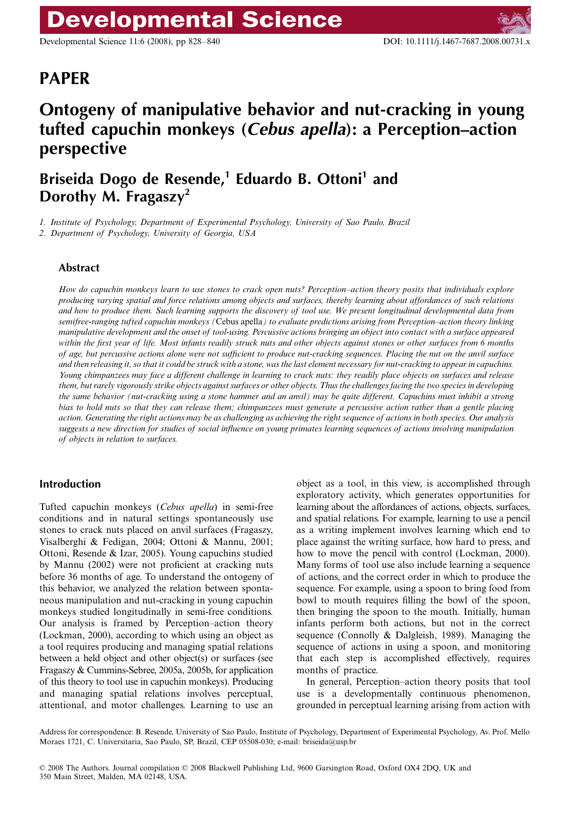Developmental Science 11:6 (2008), pp 828–840 DOI: 10.1111/j.1467-7687.2008.00731

# Blackwell Publishing Ltd **PAPER**

# **Ontogeny of manipulative behavior and nut-cracking in young tufted capuchin monkeys (***Cebus apella***): a Perception–action perspective**

Briseida Dogo de Resende,<sup>1</sup> Eduardo B. Ottoni<sup>1</sup> and **Dorothy M. Fragaszy<sup>2</sup>**

*1. Institute of Psychology, Department of Experimental Psychology, University of Sao Paulo, Brazil*

*2. Department of Psychology, University of Georgia, USA*

# **Abstract**

*How do capuchin monkeys learn to use stones to crack open nuts? Perception–action theory posits that individuals explore producing varying spatial and force relations among objects and surfaces, thereby learning about affordances of such relations and how to produce them. Such learning supports the discovery of tool use. We present longitudinal developmental data from semifree-ranging tufted capuchin monkeys (*Cebus apella*) to evaluate predictions arising from Perception–action theory linking manipulative development and the onset of tool-using. Percussive actions bringing an object into contact with a surface appeared within the first year of life. Most infants readily struck nuts and other objects against stones or other surfaces from 6 months of age, but percussive actions alone were not sufficient to produce nut-cracking sequences. Placing the nut on the anvil surface and then releasing it, so that it could be struck with a stone, was the last element necessary for nut-cracking to appear in capuchins. Young chimpanzees may face a different challenge in learning to crack nuts: they readily place objects on surfaces and release them, but rarely vigorously strike objects against surfaces or other objects. Thus the challenges facing the two species in developing the same behavior (nut-cracking using a stone hammer and an anvil) may be quite different. Capuchins must inhibit a strong bias to hold nuts so that they can release them; chimpanzees must generate a percussive action rather than a gentle placing action. Generating the right actions may be as challenging as achieving the right sequence of actions in both species. Our analysis suggests a new direction for studies of social influence on young primates learning sequences of actions involving manipulation of objects in relation to surfaces.*

# **Introduction**

Tufted capuchin monkeys (*Cebus apella*) in semi-free conditions and in natural settings spontaneously use stones to crack nuts placed on anvil surfaces (Fragaszy, Visalberghi & Fedigan, 2004; Ottoni & Mannu, 2001; Ottoni, Resende & Izar, 2005). Young capuchins studied by Mannu (2002) were not proficient at cracking nuts before 36 months of age. To understand the ontogeny of this behavior, we analyzed the relation between spontaneous manipulation and nut-cracking in young capuchin monkeys studied longitudinally in semi-free conditions. Our analysis is framed by Perception–action theory (Lockman, 2000), according to which using an object as a tool requires producing and managing spatial relations between a held object and other object(s) or surfaces (see Fragaszy & Cummins-Sebree, 2005a, 2005b, for application of this theory to tool use in capuchin monkeys). Producing and managing spatial relations involves perceptual, attentional, and motor challenges. Learning to use an

object as a tool, in this view, is accomplished through exploratory activity, which generates opportunities for learning about the affordances of actions, objects, surfaces, and spatial relations. For example, learning to use a pencil as a writing implement involves learning which end to place against the writing surface, how hard to press, and how to move the pencil with control (Lockman, 2000). Many forms of tool use also include learning a sequence of actions, and the correct order in which to produce the sequence. For example, using a spoon to bring food from bowl to mouth requires filling the bowl of the spoon, then bringing the spoon to the mouth. Initially, human infants perform both actions, but not in the correct sequence (Connolly & Dalgleish, 1989). Managing the sequence of actions in using a spoon, and monitoring that each step is accomplished effectively, requires months of practice.

In general, Perception–action theory posits that tool use is a developmentally continuous phenomenon, grounded in perceptual learning arising from action with

Address for correspondence: B. Resende, University of Sao Paulo, Institute of Psychology, Department of Experimental Psychology, Av. Prof. Mello Moraes 1721, C. Universitaria, Sao Paulo, SP, Brazil, CEP 05508-030; e-mail: briseida@usp.br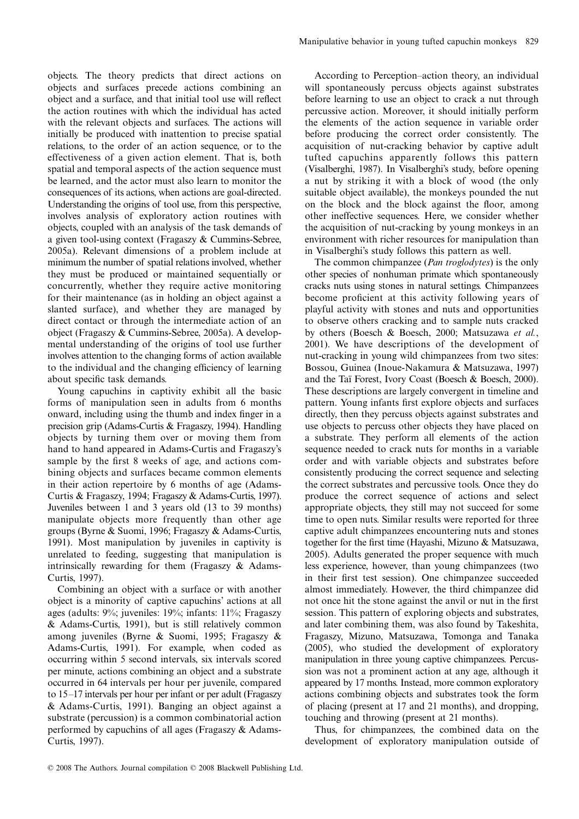objects. The theory predicts that direct actions on objects and surfaces precede actions combining an object and a surface, and that initial tool use will reflect the action routines with which the individual has acted with the relevant objects and surfaces. The actions will initially be produced with inattention to precise spatial relations, to the order of an action sequence, or to the effectiveness of a given action element. That is, both spatial and temporal aspects of the action sequence must be learned, and the actor must also learn to monitor the consequences of its actions, when actions are goal-directed. Understanding the origins of tool use, from this perspective, involves analysis of exploratory action routines with objects, coupled with an analysis of the task demands of a given tool-using context (Fragaszy & Cummins-Sebree, 2005a). Relevant dimensions of a problem include at minimum the number of spatial relations involved, whether they must be produced or maintained sequentially or concurrently, whether they require active monitoring for their maintenance (as in holding an object against a slanted surface), and whether they are managed by direct contact or through the intermediate action of an object (Fragaszy & Cummins-Sebree, 2005a). A developmental understanding of the origins of tool use further involves attention to the changing forms of action available to the individual and the changing efficiency of learning about specific task demands.

Young capuchins in captivity exhibit all the basic forms of manipulation seen in adults from 6 months onward, including using the thumb and index finger in a precision grip (Adams-Curtis & Fragaszy, 1994). Handling objects by turning them over or moving them from hand to hand appeared in Adams-Curtis and Fragaszy's sample by the first 8 weeks of age, and actions combining objects and surfaces became common elements in their action repertoire by 6 months of age (Adams-Curtis & Fragaszy, 1994; Fragaszy & Adams-Curtis, 1997). Juveniles between 1 and 3 years old (13 to 39 months) manipulate objects more frequently than other age groups (Byrne & Suomi, 1996; Fragaszy & Adams-Curtis, 1991). Most manipulation by juveniles in captivity is unrelated to feeding, suggesting that manipulation is intrinsically rewarding for them (Fragaszy & Adams-Curtis, 1997).

Combining an object with a surface or with another object is a minority of captive capuchins' actions at all ages (adults: 9%; juveniles: 19%; infants: 11%; Fragaszy & Adams-Curtis, 1991), but is still relatively common among juveniles (Byrne & Suomi, 1995; Fragaszy & Adams-Curtis, 1991). For example, when coded as occurring within 5 second intervals, six intervals scored per minute, actions combining an object and a substrate occurred in 64 intervals per hour per juvenile, compared to 15–17 intervals per hour per infant or per adult (Fragaszy & Adams-Curtis, 1991). Banging an object against a substrate (percussion) is a common combinatorial action performed by capuchins of all ages (Fragaszy & Adams-Curtis, 1997).

According to Perception–action theory, an individual will spontaneously percuss objects against substrates before learning to use an object to crack a nut through percussive action. Moreover, it should initially perform the elements of the action sequence in variable order before producing the correct order consistently. The acquisition of nut-cracking behavior by captive adult tufted capuchins apparently follows this pattern (Visalberghi, 1987). In Visalberghi's study, before opening a nut by striking it with a block of wood (the only suitable object available), the monkeys pounded the nut on the block and the block against the floor, among other ineffective sequences. Here, we consider whether the acquisition of nut-cracking by young monkeys in an environment with richer resources for manipulation than in Visalberghi's study follows this pattern as well.

The common chimpanzee (*Pan troglodytes*) is the only other species of nonhuman primate which spontaneously cracks nuts using stones in natural settings. Chimpanzees become proficient at this activity following years of playful activity with stones and nuts and opportunities to observe others cracking and to sample nuts cracked by others (Boesch & Boesch, 2000; Matsuzawa *et al.*, 2001). We have descriptions of the development of nut-cracking in young wild chimpanzees from two sites: Bossou, Guinea (Inoue-Nakamura & Matsuzawa, 1997) and the Taï Forest, Ivory Coast (Boesch & Boesch, 2000). These descriptions are largely convergent in timeline and pattern. Young infants first explore objects and surfaces directly, then they percuss objects against substrates and use objects to percuss other objects they have placed on a substrate. They perform all elements of the action sequence needed to crack nuts for months in a variable order and with variable objects and substrates before consistently producing the correct sequence and selecting the correct substrates and percussive tools. Once they do produce the correct sequence of actions and select appropriate objects, they still may not succeed for some time to open nuts. Similar results were reported for three captive adult chimpanzees encountering nuts and stones together for the first time (Hayashi, Mizuno & Matsuzawa, 2005). Adults generated the proper sequence with much less experience, however, than young chimpanzees (two in their first test session). One chimpanzee succeeded almost immediately. However, the third chimpanzee did not once hit the stone against the anvil or nut in the first session. This pattern of exploring objects and substrates, and later combining them, was also found by Takeshita, Fragaszy, Mizuno, Matsuzawa, Tomonga and Tanaka (2005), who studied the development of exploratory manipulation in three young captive chimpanzees. Percussion was not a prominent action at any age, although it appeared by 17 months. Instead, more common exploratory actions combining objects and substrates took the form of placing (present at 17 and 21 months), and dropping, touching and throwing (present at 21 months).

Thus, for chimpanzees, the combined data on the development of exploratory manipulation outside of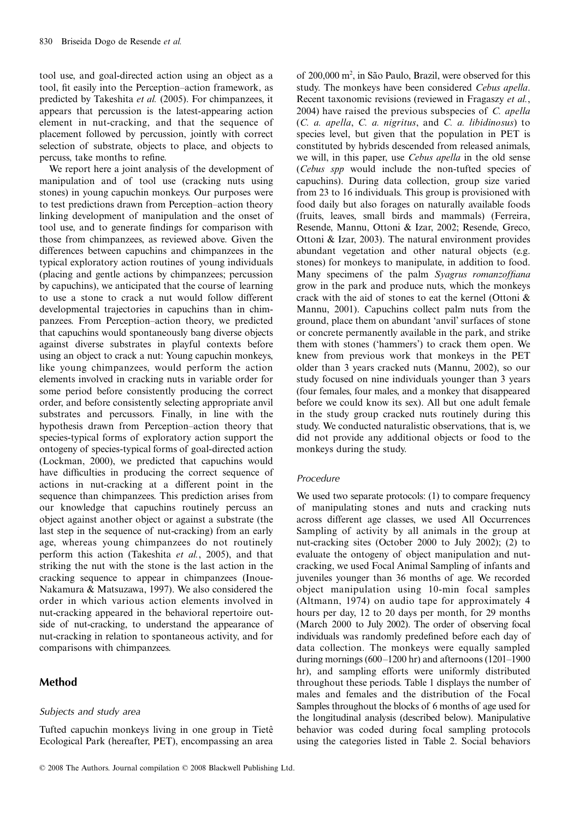tool use, and goal-directed action using an object as a tool, fit easily into the Perception–action framework, as predicted by Takeshita *et al.* (2005). For chimpanzees, it appears that percussion is the latest-appearing action element in nut-cracking, and that the sequence of placement followed by percussion, jointly with correct selection of substrate, objects to place, and objects to percuss, take months to refine.

We report here a joint analysis of the development of manipulation and of tool use (cracking nuts using stones) in young capuchin monkeys. Our purposes were to test predictions drawn from Perception–action theory linking development of manipulation and the onset of tool use, and to generate findings for comparison with those from chimpanzees, as reviewed above. Given the differences between capuchins and chimpanzees in the typical exploratory action routines of young individuals (placing and gentle actions by chimpanzees; percussion by capuchins), we anticipated that the course of learning to use a stone to crack a nut would follow different developmental trajectories in capuchins than in chimpanzees. From Perception–action theory, we predicted that capuchins would spontaneously bang diverse objects against diverse substrates in playful contexts before using an object to crack a nut: Young capuchin monkeys, like young chimpanzees, would perform the action elements involved in cracking nuts in variable order for some period before consistently producing the correct order, and before consistently selecting appropriate anvil substrates and percussors. Finally, in line with the hypothesis drawn from Perception–action theory that species-typical forms of exploratory action support the ontogeny of species-typical forms of goal-directed action (Lockman, 2000), we predicted that capuchins would have difficulties in producing the correct sequence of actions in nut-cracking at a different point in the sequence than chimpanzees. This prediction arises from our knowledge that capuchins routinely percuss an object against another object or against a substrate (the last step in the sequence of nut-cracking) from an early age, whereas young chimpanzees do not routinely perform this action (Takeshita *et al.*, 2005), and that striking the nut with the stone is the last action in the cracking sequence to appear in chimpanzees (Inoue-Nakamura & Matsuzawa, 1997). We also considered the order in which various action elements involved in nut-cracking appeared in the behavioral repertoire outside of nut-cracking, to understand the appearance of nut-cracking in relation to spontaneous activity, and for comparisons with chimpanzees.

# **Method**

### *Subjects and study area*

Tufted capuchin monkeys living in one group in Tietê Ecological Park (hereafter, PET), encompassing an area

of 200,000 m<sup>2</sup>, in São Paulo, Brazil, were observed for this study. The monkeys have been considered *Cebus apella*. Recent taxonomic revisions (reviewed in Fragaszy *et al.*, 2004) have raised the previous subspecies of *C. apella* (*C. a. apella*, *C. a. nigritus*, and *C. a. libidinosus*) to species level, but given that the population in PET is constituted by hybrids descended from released animals, we will, in this paper, use *Cebus apella* in the old sense (*Cebus spp* would include the non-tufted species of capuchins). During data collection, group size varied from 23 to 16 individuals. This group is provisioned with food daily but also forages on naturally available foods (fruits, leaves, small birds and mammals) (Ferreira, Resende, Mannu, Ottoni & Izar, 2002; Resende, Greco, Ottoni & Izar, 2003). The natural environment provides abundant vegetation and other natural objects (e.g. stones) for monkeys to manipulate, in addition to food. Many specimens of the palm *Syagrus romanzoffiana* grow in the park and produce nuts, which the monkeys crack with the aid of stones to eat the kernel (Ottoni & Mannu, 2001). Capuchins collect palm nuts from the ground, place them on abundant 'anvil' surfaces of stone or concrete permanently available in the park, and strike them with stones ('hammers') to crack them open. We knew from previous work that monkeys in the PET older than 3 years cracked nuts (Mannu, 2002), so our study focused on nine individuals younger than 3 years (four females, four males, and a monkey that disappeared before we could know its sex). All but one adult female in the study group cracked nuts routinely during this study. We conducted naturalistic observations, that is, we did not provide any additional objects or food to the monkeys during the study.

### *Procedure*

We used two separate protocols: (1) to compare frequency of manipulating stones and nuts and cracking nuts across different age classes, we used All Occurrences Sampling of activity by all animals in the group at nut-cracking sites (October 2000 to July 2002); (2) to evaluate the ontogeny of object manipulation and nutcracking, we used Focal Animal Sampling of infants and juveniles younger than 36 months of age. We recorded object manipulation using 10-min focal samples (Altmann, 1974) on audio tape for approximately 4 hours per day, 12 to 20 days per month, for 29 months (March 2000 to July 2002). The order of observing focal individuals was randomly predefined before each day of data collection. The monkeys were equally sampled during mornings (600–1200 hr) and afternoons (1201–1900 hr), and sampling efforts were uniformly distributed throughout these periods. Table 1 displays the number of males and females and the distribution of the Focal Samples throughout the blocks of 6 months of age used for the longitudinal analysis (described below). Manipulative behavior was coded during focal sampling protocols using the categories listed in Table 2. Social behaviors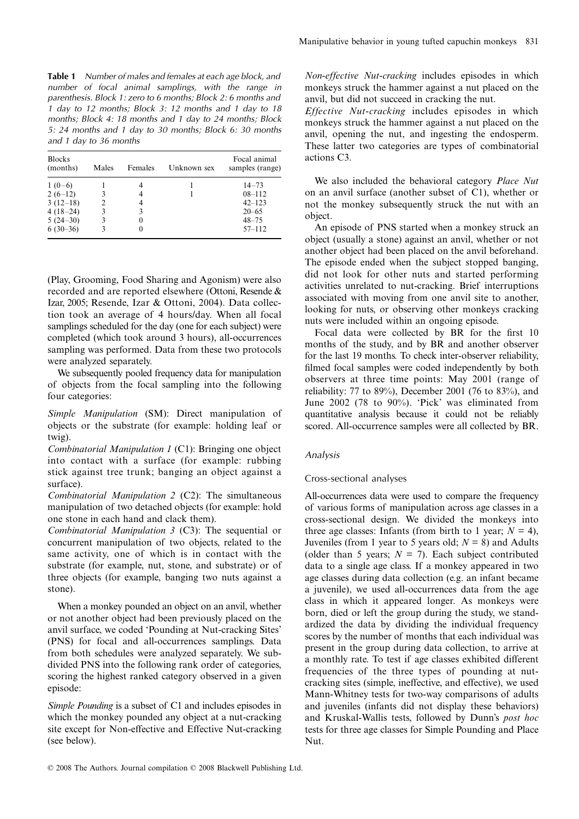**Table 1** *Number of males and females at each age block, and number of focal animal samplings, with the range in parenthesis. Block 1: zero to 6 months; Block 2: 6 months and 1 day to 12 months; Block 3: 12 months and 1 day to 18 months; Block 4: 18 months and 1 day to 24 months; Block 5: 24 months and 1 day to 30 months; Block 6: 30 months and 1 day to 36 months*

| <b>Blocks</b><br>(months) | Males | Females | Unknown sex | Focal animal<br>samples (range) |
|---------------------------|-------|---------|-------------|---------------------------------|
| $1(0-6)$                  |       | 4       |             | $14 - 73$                       |
| $2(6-12)$                 |       |         |             | $08 - 112$                      |
| $3(12-18)$                | 2     |         |             | $42 - 123$                      |
| 4 $(18-24)$               | 3     | 3       |             | $20 - 65$                       |
| $5(24-30)$                |       |         |             | $48 - 75$                       |
| $6(30-36)$                |       |         |             | $57 - 112$                      |

(Play, Grooming, Food Sharing and Agonism) were also recorded and are reported elsewhere (Ottoni, Resende & Izar, 2005; Resende, Izar & Ottoni, 2004). Data collection took an average of 4 hours/day. When all focal samplings scheduled for the day (one for each subject) were completed (which took around 3 hours), all-occurrences sampling was performed. Data from these two protocols were analyzed separately.

We subsequently pooled frequency data for manipulation of objects from the focal sampling into the following four categories:

*Simple Manipulation* (SM): Direct manipulation of objects or the substrate (for example: holding leaf or twig).

*Combinatorial Manipulation 1* (C1): Bringing one object into contact with a surface (for example: rubbing stick against tree trunk; banging an object against a surface).

*Combinatorial Manipulation 2* (C2): The simultaneous manipulation of two detached objects (for example: hold one stone in each hand and clack them).

*Combinatorial Manipulation 3* (C3): The sequential or concurrent manipulation of two objects, related to the same activity, one of which is in contact with the substrate (for example, nut, stone, and substrate) or of three objects (for example, banging two nuts against a stone).

When a monkey pounded an object on an anvil, whether or not another object had been previously placed on the anvil surface, we coded 'Pounding at Nut-cracking Sites' (PNS) for focal and all-occurrences samplings. Data from both schedules were analyzed separately. We subdivided PNS into the following rank order of categories, scoring the highest ranked category observed in a given episode:

*Simple Pounding* is a subset of C1 and includes episodes in which the monkey pounded any object at a nut-cracking site except for Non-effective and Effective Nut-cracking (see below).

*Non-effective Nut-cracking* includes episodes in which monkeys struck the hammer against a nut placed on the anvil, but did not succeed in cracking the nut.

*Effective Nut-cracking* includes episodes in which monkeys struck the hammer against a nut placed on the anvil, opening the nut, and ingesting the endosperm. These latter two categories are types of combinatorial actions C3.

We also included the behavioral category *Place Nut* on an anvil surface (another subset of C1), whether or not the monkey subsequently struck the nut with an object.

An episode of PNS started when a monkey struck an object (usually a stone) against an anvil, whether or not another object had been placed on the anvil beforehand. The episode ended when the subject stopped banging, did not look for other nuts and started performing activities unrelated to nut-cracking. Brief interruptions associated with moving from one anvil site to another, looking for nuts, or observing other monkeys cracking nuts were included within an ongoing episode.

Focal data were collected by BR for the first 10 months of the study, and by BR and another observer for the last 19 months. To check inter-observer reliability, filmed focal samples were coded independently by both observers at three time points: May 2001 (range of reliability: 77 to 89%), December 2001 (76 to 83%), and June 2002 (78 to 90%). 'Pick' was eliminated from quantitative analysis because it could not be reliably scored. All-occurrence samples were all collected by BR.

#### *Analysis*

#### Cross-sectional analyses

All-occurrences data were used to compare the frequency of various forms of manipulation across age classes in a cross-sectional design. We divided the monkeys into three age classes: Infants (from birth to 1 year;  $N = 4$ ), Juveniles (from 1 year to 5 years old;  $N = 8$ ) and Adults (older than 5 years;  $N = 7$ ). Each subject contributed data to a single age class. If a monkey appeared in two age classes during data collection (e.g. an infant became a juvenile), we used all-occurrences data from the age class in which it appeared longer. As monkeys were born, died or left the group during the study, we standardized the data by dividing the individual frequency scores by the number of months that each individual was present in the group during data collection, to arrive at a monthly rate. To test if age classes exhibited different frequencies of the three types of pounding at nutcracking sites (simple, ineffective, and effective), we used Mann-Whitney tests for two-way comparisons of adults and juveniles (infants did not display these behaviors) and Kruskal-Wallis tests, followed by Dunn's *post hoc* tests for three age classes for Simple Pounding and Place Nut.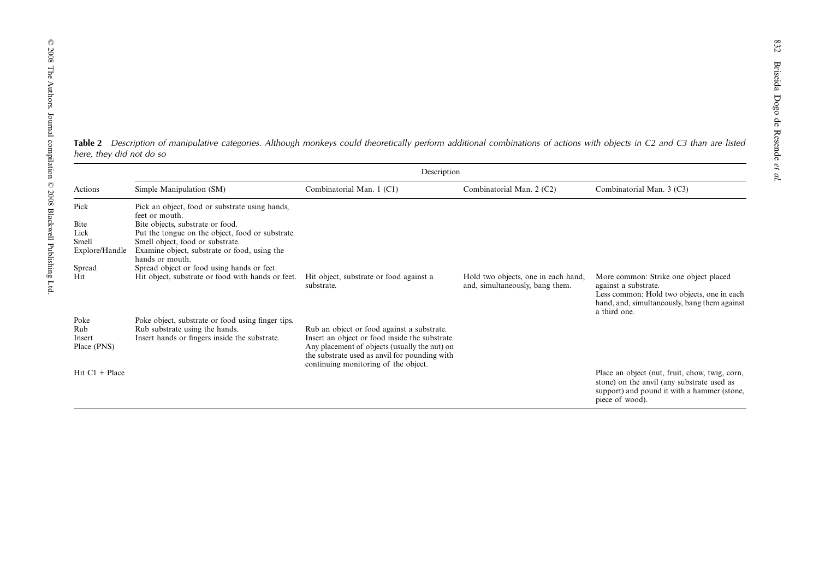| here, they did not do so                                         | Table 2 Description of manipulative categories. Although monkeys could theoretically perform additional combinations of actions with objects in C2 and C3 than are listed                                                                                                                                                                                          |                                                                                                                                                                                                                                        |                                                                        |                                                                                                                                                                                                                                |  |
|------------------------------------------------------------------|--------------------------------------------------------------------------------------------------------------------------------------------------------------------------------------------------------------------------------------------------------------------------------------------------------------------------------------------------------------------|----------------------------------------------------------------------------------------------------------------------------------------------------------------------------------------------------------------------------------------|------------------------------------------------------------------------|--------------------------------------------------------------------------------------------------------------------------------------------------------------------------------------------------------------------------------|--|
|                                                                  | Description                                                                                                                                                                                                                                                                                                                                                        |                                                                                                                                                                                                                                        |                                                                        |                                                                                                                                                                                                                                |  |
| Actions                                                          | Simple Manipulation (SM)                                                                                                                                                                                                                                                                                                                                           | Combinatorial Man. 1 (C1)                                                                                                                                                                                                              | Combinatorial Man. 2 (C2)                                              | Combinatorial Man. 3 (C3)                                                                                                                                                                                                      |  |
| Pick<br>Bite<br>Lick<br>Smell<br>Explore/Handle<br>Spread<br>Hit | Pick an object, food or substrate using hands,<br>feet or mouth.<br>Bite objects, substrate or food.<br>Put the tongue on the object, food or substrate.<br>Smell object, food or substrate.<br>Examine object, substrate or food, using the<br>hands or mouth.<br>Spread object or food using hands or feet.<br>Hit object, substrate or food with hands or feet. | Hit object, substrate or food against a<br>substrate.                                                                                                                                                                                  | Hold two objects, one in each hand,<br>and, simultaneously, bang them. | More common: Strike one object placed<br>against a substrate.<br>Less common: Hold two objects, one in each                                                                                                                    |  |
| Poke<br>Rub<br>Insert<br>Place (PNS)<br>Hit $C1 +$ Place         | Poke object, substrate or food using finger tips.<br>Rub substrate using the hands.<br>Insert hands or fingers inside the substrate.                                                                                                                                                                                                                               | Rub an object or food against a substrate.<br>Insert an object or food inside the substrate.<br>Any placement of objects (usually the nut) on<br>the substrate used as anvil for pounding with<br>continuing monitoring of the object. |                                                                        | hand, and, simultaneously, bang them against<br>a third one.<br>Place an object (nut, fruit, chow, twig, corn,<br>stone) on the anvil (any substrate used as<br>support) and pound it with a hammer (stone,<br>piece of wood). |  |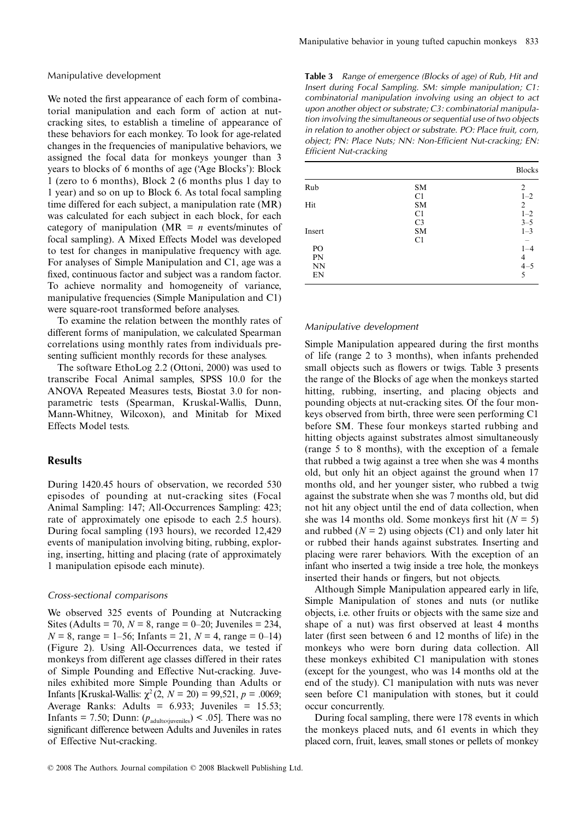Manipulative development

We noted the first appearance of each form of combinatorial manipulation and each form of action at nutcracking sites, to establish a timeline of appearance of these behaviors for each monkey. To look for age-related changes in the frequencies of manipulative behaviors, we assigned the focal data for monkeys younger than 3 years to blocks of 6 months of age ('Age Blocks'): Block 1 (zero to 6 months), Block 2 (6 months plus 1 day to 1 year) and so on up to Block 6. As total focal sampling time differed for each subject, a manipulation rate (MR) was calculated for each subject in each block, for each category of manipulation ( $MR = n$  events/minutes of focal sampling). A Mixed Effects Model was developed to test for changes in manipulative frequency with age. For analyses of Simple Manipulation and C1, age was a fixed, continuous factor and subject was a random factor. To achieve normality and homogeneity of variance, manipulative frequencies (Simple Manipulation and C1) were square-root transformed before analyses.

To examine the relation between the monthly rates of different forms of manipulation, we calculated Spearman correlations using monthly rates from individuals presenting sufficient monthly records for these analyses.

The software EthoLog 2.2 (Ottoni, 2000) was used to transcribe Focal Animal samples, SPSS 10.0 for the ANOVA Repeated Measures tests, Biostat 3.0 for nonparametric tests (Spearman, Kruskal-Wallis, Dunn, Mann-Whitney, Wilcoxon), and Minitab for Mixed Effects Model tests.

#### **Results**

During 1420.45 hours of observation, we recorded 530 episodes of pounding at nut-cracking sites (Focal Animal Sampling: 147; All-Occurrences Sampling: 423; rate of approximately one episode to each 2.5 hours). During focal sampling (193 hours), we recorded 12,429 events of manipulation involving biting, rubbing, exploring, inserting, hitting and placing (rate of approximately 1 manipulation episode each minute).

#### *Cross-sectional comparisons*

We observed 325 events of Pounding at Nutcracking Sites (Adults = 70,  $N = 8$ , range = 0–20; Juveniles = 234,  $N = 8$ , range = 1–56; Infants = 21,  $N = 4$ , range = 0–14) (Figure 2). Using All-Occurrences data, we tested if monkeys from different age classes differed in their rates of Simple Pounding and Effective Nut-cracking. Juveniles exhibited more Simple Pounding than Adults or Infants [Kruskal-Wallis:  $\chi^2$  (2, *N* = 20) = 99,521, *p* = .0069; Average Ranks: Adults = 6.933; Juveniles = 15.53; Infants = 7.50; Dunn:  $(p_{\text{adultsx}$ <sub>iuveniles</sub>) < .05]. There was no significant difference between Adults and Juveniles in rates of Effective Nut-cracking.

**Table 3** *Range of emergence (Blocks of age) of Rub, Hit and Insert during Focal Sampling. SM: simple manipulation; C1: combinatorial manipulation involving using an object to act upon another object or substrate; C3: combinatorial manipulation involving the simultaneous or sequential use of two objects in relation to another object or substrate. PO: Place fruit, corn, object; PN: Place Nuts; NN: Non-Efficient Nut-cracking; EN: Efficient Nut-cracking*

|           |                | <b>Blocks</b> |
|-----------|----------------|---------------|
| Rub       | <b>SM</b>      | 2             |
|           | C <sub>1</sub> | $1 - 2$       |
| Hit       | <b>SM</b>      | 2             |
|           | C <sub>1</sub> | $1 - 2$       |
|           | C <sub>3</sub> | $3 - 5$       |
| Insert    | <b>SM</b>      | $1 - 3$       |
|           | C <sub>1</sub> |               |
| PO        |                | $1 - 4$       |
| PN        |                | 4             |
| <b>NN</b> |                | $4 - 5$       |
| EN        |                | 5             |

#### *Manipulative development*

Simple Manipulation appeared during the first months of life (range 2 to 3 months), when infants prehended small objects such as flowers or twigs. Table 3 presents the range of the Blocks of age when the monkeys started hitting, rubbing, inserting, and placing objects and pounding objects at nut-cracking sites. Of the four monkeys observed from birth, three were seen performing C1 before SM. These four monkeys started rubbing and hitting objects against substrates almost simultaneously (range 5 to 8 months), with the exception of a female that rubbed a twig against a tree when she was 4 months old, but only hit an object against the ground when 17 months old, and her younger sister, who rubbed a twig against the substrate when she was 7 months old, but did not hit any object until the end of data collection, when she was 14 months old. Some monkeys first hit  $(N = 5)$ and rubbed  $(N = 2)$  using objects  $(Cl)$  and only later hit or rubbed their hands against substrates. Inserting and placing were rarer behaviors. With the exception of an infant who inserted a twig inside a tree hole, the monkeys inserted their hands or fingers, but not objects.

Although Simple Manipulation appeared early in life, Simple Manipulation of stones and nuts (or nutlike objects, i.e. other fruits or objects with the same size and shape of a nut) was first observed at least 4 months later (first seen between 6 and 12 months of life) in the monkeys who were born during data collection. All these monkeys exhibited C1 manipulation with stones (except for the youngest, who was 14 months old at the end of the study). C1 manipulation with nuts was never seen before C1 manipulation with stones, but it could occur concurrently.

During focal sampling, there were 178 events in which the monkeys placed nuts, and 61 events in which they placed corn, fruit, leaves, small stones or pellets of monkey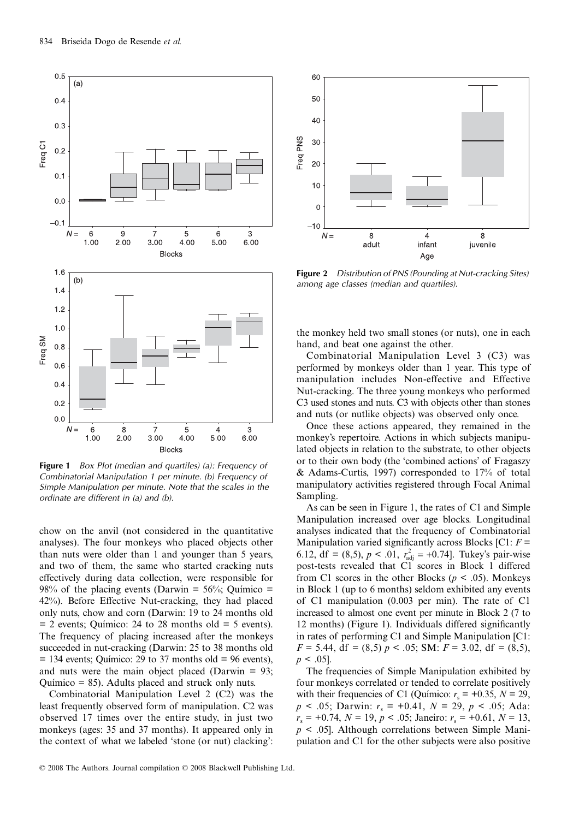

**Figure 1** *Box Plot (median and quartiles) (a): Frequency of Combinatorial Manipulation 1 per minute. (b) Frequency of Simple Manipulation per minute. Note that the scales in the ordinate are different in (a) and (b).*

chow on the anvil (not considered in the quantitative analyses). The four monkeys who placed objects other than nuts were older than 1 and younger than 5 years, and two of them, the same who started cracking nuts effectively during data collection, were responsible for 98% of the placing events (Darwin =  $56\%$ ; Químico = 42%). Before Effective Nut-cracking, they had placed only nuts, chow and corn (Darwin: 19 to 24 months old  $= 2$  events; Químico: 24 to 28 months old  $= 5$  events). The frequency of placing increased after the monkeys succeeded in nut-cracking (Darwin: 25 to 38 months old  $= 134$  events; Químico: 29 to 37 months old  $= 96$  events), and nuts were the main object placed (Darwin = 93; Químico = 85). Adults placed and struck only nuts.

Combinatorial Manipulation Level 2 (C2) was the least frequently observed form of manipulation. C2 was observed 17 times over the entire study, in just two monkeys (ages: 35 and 37 months). It appeared only in the context of what we labeled 'stone (or nut) clacking':



**Figure 2** *Distribution of PNS (Pounding at Nut-cracking Sites) among age classes (median and quartiles).*

the monkey held two small stones (or nuts), one in each hand, and beat one against the other.

Combinatorial Manipulation Level 3 (C3) was performed by monkeys older than 1 year. This type of manipulation includes Non-effective and Effective Nut-cracking. The three young monkeys who performed C3 used stones and nuts. C3 with objects other than stones and nuts (or nutlike objects) was observed only once.

Once these actions appeared, they remained in the monkey's repertoire. Actions in which subjects manipulated objects in relation to the substrate, to other objects or to their own body (the 'combined actions' of Fragaszy & Adams-Curtis, 1997) corresponded to 17% of total manipulatory activities registered through Focal Animal Sampling.

As can be seen in Figure 1, the rates of C1 and Simple Manipulation increased over age blocks. Longitudinal analyses indicated that the frequency of Combinatorial Manipulation varied significantly across Blocks [C1:  $F =$ 6.12, df = (8,5),  $p < .01$ ,  $r_{\text{adj}}^2 = +0.74$ ]. Tukey's pair-wise post-tests revealed that C1 scores in Block 1 differed from C1 scores in the other Blocks ( $p < .05$ ). Monkeys in Block 1 (up to 6 months) seldom exhibited any events of C1 manipulation (0.003 per min). The rate of C1 increased to almost one event per minute in Block 2 (7 to 12 months) (Figure 1). Individuals differed significantly in rates of performing C1 and Simple Manipulation [C1:  $F = 5.44$ , df = (8,5)  $p < .05$ ; SM:  $F = 3.02$ , df = (8,5),  $p < .05$ ].

The frequencies of Simple Manipulation exhibited by four monkeys correlated or tended to correlate positively with their frequencies of C1 (Químico:  $r_s = +0.35$ ,  $N = 29$ , *p* < .05; Darwin:  $r_s$  = +0.41,  $N = 29$ ,  $p$  < .05; Ada:  $r_s$  = +0.74, *N* = 19, *p* < .05; Janeiro:  $r_s$  = +0.61, *N* = 13, *p* < .05]. Although correlations between Simple Manipulation and C1 for the other subjects were also positive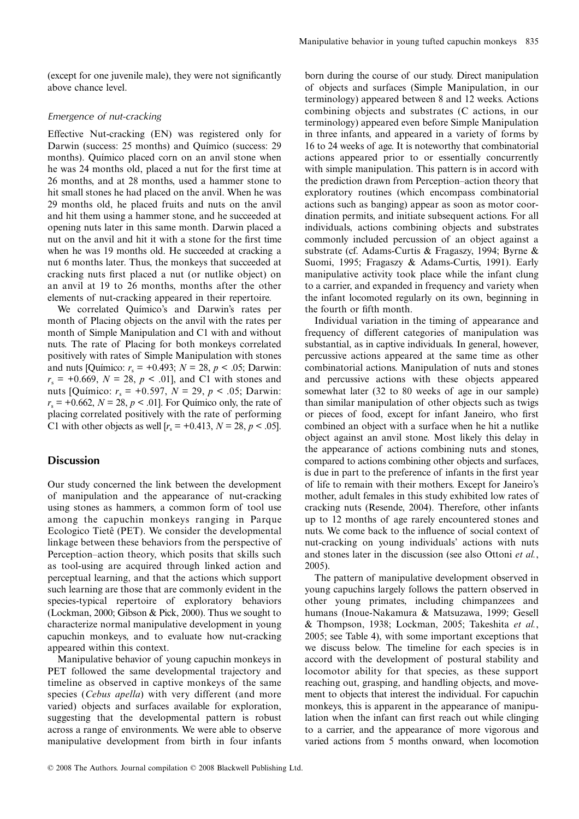(except for one juvenile male), they were not significantly above chance level.

#### *Emergence of nut-cracking*

Effective Nut-cracking (EN) was registered only for Darwin (success: 25 months) and Químico (success: 29 months). Químico placed corn on an anvil stone when he was 24 months old, placed a nut for the first time at 26 months, and at 28 months, used a hammer stone to hit small stones he had placed on the anvil. When he was 29 months old, he placed fruits and nuts on the anvil and hit them using a hammer stone, and he succeeded at opening nuts later in this same month. Darwin placed a nut on the anvil and hit it with a stone for the first time when he was 19 months old. He succeeded at cracking a nut 6 months later. Thus, the monkeys that succeeded at cracking nuts first placed a nut (or nutlike object) on an anvil at 19 to 26 months, months after the other elements of nut-cracking appeared in their repertoire.

We correlated Químico's and Darwin's rates per month of Placing objects on the anvil with the rates per month of Simple Manipulation and C1 with and without nuts. The rate of Placing for both monkeys correlated positively with rates of Simple Manipulation with stones and nuts [Químico:  $r_s = +0.493$ ;  $N = 28$ ,  $p < .05$ ; Darwin:  $r_s$  = +0.669,  $N = 28$ ,  $p < .01$ , and C1 with stones and nuts [Químico:  $r_s$  = +0.597,  $N = 29$ ,  $p < .05$ ; Darwin:  $r_s$  = +0.662,  $N = 28$ ,  $p < .01$ . For Químico only, the rate of placing correlated positively with the rate of performing C1 with other objects as well  $[r_s = +0.413, N = 28, p < .05]$ .

# **Discussion**

Our study concerned the link between the development of manipulation and the appearance of nut-cracking using stones as hammers, a common form of tool use among the capuchin monkeys ranging in Parque Ecologico Tietê (PET). We consider the developmental linkage between these behaviors from the perspective of Perception–action theory, which posits that skills such as tool-using are acquired through linked action and perceptual learning, and that the actions which support such learning are those that are commonly evident in the species-typical repertoire of exploratory behaviors (Lockman, 2000; Gibson & Pick, 2000). Thus we sought to characterize normal manipulative development in young capuchin monkeys, and to evaluate how nut-cracking appeared within this context.

Manipulative behavior of young capuchin monkeys in PET followed the same developmental trajectory and timeline as observed in captive monkeys of the same species (*Cebus apella*) with very different (and more varied) objects and surfaces available for exploration, suggesting that the developmental pattern is robust across a range of environments. We were able to observe manipulative development from birth in four infants born during the course of our study. Direct manipulation of objects and surfaces (Simple Manipulation, in our terminology) appeared between 8 and 12 weeks. Actions combining objects and substrates (C actions, in our terminology) appeared even before Simple Manipulation in three infants, and appeared in a variety of forms by 16 to 24 weeks of age. It is noteworthy that combinatorial actions appeared prior to or essentially concurrently with simple manipulation. This pattern is in accord with the prediction drawn from Perception–action theory that exploratory routines (which encompass combinatorial actions such as banging) appear as soon as motor coordination permits, and initiate subsequent actions. For all individuals, actions combining objects and substrates commonly included percussion of an object against a substrate (cf. Adams-Curtis & Fragaszy, 1994; Byrne & Suomi, 1995; Fragaszy & Adams-Curtis, 1991). Early manipulative activity took place while the infant clung to a carrier, and expanded in frequency and variety when the infant locomoted regularly on its own, beginning in the fourth or fifth month.

Individual variation in the timing of appearance and frequency of different categories of manipulation was substantial, as in captive individuals. In general, however, percussive actions appeared at the same time as other combinatorial actions. Manipulation of nuts and stones and percussive actions with these objects appeared somewhat later (32 to 80 weeks of age in our sample) than similar manipulation of other objects such as twigs or pieces of food, except for infant Janeiro, who first combined an object with a surface when he hit a nutlike object against an anvil stone. Most likely this delay in the appearance of actions combining nuts and stones, compared to actions combining other objects and surfaces, is due in part to the preference of infants in the first year of life to remain with their mothers. Except for Janeiro's mother, adult females in this study exhibited low rates of cracking nuts (Resende, 2004). Therefore, other infants up to 12 months of age rarely encountered stones and nuts. We come back to the influence of social context of nut-cracking on young individuals' actions with nuts and stones later in the discussion (see also Ottoni *et al.*, 2005).

The pattern of manipulative development observed in young capuchins largely follows the pattern observed in other young primates, including chimpanzees and humans (Inoue-Nakamura & Matsuzawa, 1999; Gesell & Thompson, 1938; Lockman, 2005; Takeshita *et al.*, 2005; see Table 4), with some important exceptions that we discuss below. The timeline for each species is in accord with the development of postural stability and locomotor ability for that species, as these support reaching out, grasping, and handling objects, and movement to objects that interest the individual. For capuchin monkeys, this is apparent in the appearance of manipulation when the infant can first reach out while clinging to a carrier, and the appearance of more vigorous and varied actions from 5 months onward, when locomotion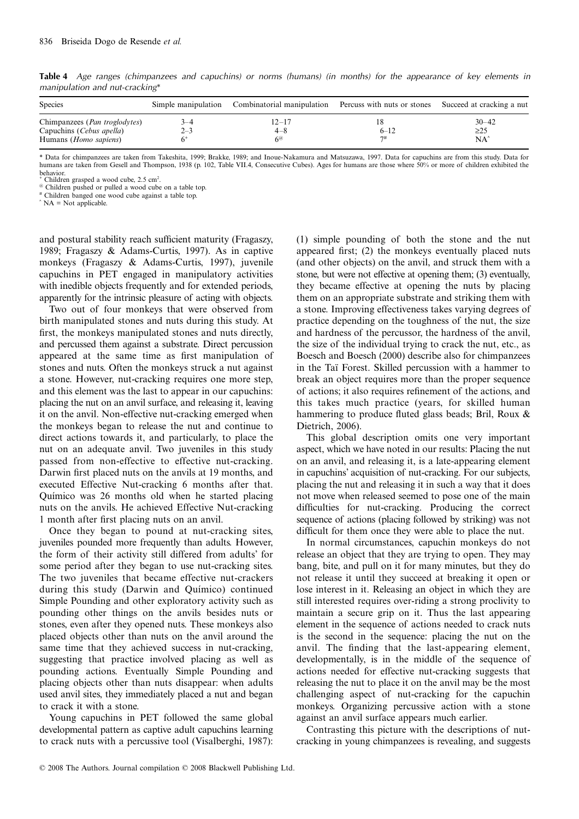| <b>Species</b>                                                                                                |                    | Simple manipulation Combinatorial manipulation Percuss with nuts or stones Succeed at cracking a nut |                |                         |
|---------------------------------------------------------------------------------------------------------------|--------------------|------------------------------------------------------------------------------------------------------|----------------|-------------------------|
| Chimpanzees ( <i>Pan troglodytes</i> )<br>Capuchins ( <i>Cebus apella</i> )<br>Humans ( <i>Homo sapiens</i> ) | $3 - 4$<br>$2 - 3$ | $12 - 17$<br>$4 - 8$<br>$6^{\circ}$                                                                  | $6 - 12$<br>一井 | $30 - 42$<br>≥25<br>NA' |

**Table 4** *Age ranges (chimpanzees and capuchins) or norms (humans) (in months) for the appearance of key elements in manipulation and nut-cracking*\*

\* Data for chimpanzees are taken from Takeshita, 1999; Brakke, 1989; and Inoue-Nakamura and Matsuzawa, 1997. Data for capuchins are from this study. Data for humans are taken from Gesell and Thompson, 1938 (p. 102, Table VII.4, Consecutive Cubes). Ages for humans are those where 50% or more of children exhibited the behavior.

 $+$  Children grasped a wood cube, 2.5 cm<sup>2</sup>.

@ Children pushed or pulled a wood cube on a table top.

# Children banged one wood cube against a table top.

 $^{\wedge}$  NA = Not applicable.

and postural stability reach sufficient maturity (Fragaszy, 1989; Fragaszy & Adams-Curtis, 1997). As in captive monkeys (Fragaszy & Adams-Curtis, 1997), juvenile capuchins in PET engaged in manipulatory activities with inedible objects frequently and for extended periods, apparently for the intrinsic pleasure of acting with objects.

Two out of four monkeys that were observed from birth manipulated stones and nuts during this study. At first, the monkeys manipulated stones and nuts directly, and percussed them against a substrate. Direct percussion appeared at the same time as first manipulation of stones and nuts. Often the monkeys struck a nut against a stone. However, nut-cracking requires one more step, and this element was the last to appear in our capuchins: placing the nut on an anvil surface, and releasing it, leaving it on the anvil. Non-effective nut-cracking emerged when the monkeys began to release the nut and continue to direct actions towards it, and particularly, to place the nut on an adequate anvil. Two juveniles in this study passed from non-effective to effective nut-cracking. Darwin first placed nuts on the anvils at 19 months, and executed Effective Nut-cracking 6 months after that. Químico was 26 months old when he started placing nuts on the anvils. He achieved Effective Nut-cracking 1 month after first placing nuts on an anvil.

Once they began to pound at nut-cracking sites, juveniles pounded more frequently than adults. However, the form of their activity still differed from adults' for some period after they began to use nut-cracking sites. The two juveniles that became effective nut-crackers during this study (Darwin and Químico) continued Simple Pounding and other exploratory activity such as pounding other things on the anvils besides nuts or stones, even after they opened nuts. These monkeys also placed objects other than nuts on the anvil around the same time that they achieved success in nut-cracking, suggesting that practice involved placing as well as pounding actions. Eventually Simple Pounding and placing objects other than nuts disappear: when adults used anvil sites, they immediately placed a nut and began to crack it with a stone.

Young capuchins in PET followed the same global developmental pattern as captive adult capuchins learning to crack nuts with a percussive tool (Visalberghi, 1987): (1) simple pounding of both the stone and the nut appeared first; (2) the monkeys eventually placed nuts (and other objects) on the anvil, and struck them with a stone, but were not effective at opening them; (3) eventually, they became effective at opening the nuts by placing them on an appropriate substrate and striking them with a stone. Improving effectiveness takes varying degrees of practice depending on the toughness of the nut, the size and hardness of the percussor, the hardness of the anvil, the size of the individual trying to crack the nut, etc., as Boesch and Boesch (2000) describe also for chimpanzees in the Taï Forest. Skilled percussion with a hammer to break an object requires more than the proper sequence of actions; it also requires refinement of the actions, and this takes much practice (years, for skilled human hammering to produce fluted glass beads; Bril, Roux & Dietrich, 2006).

This global description omits one very important aspect, which we have noted in our results: Placing the nut on an anvil, and releasing it, is a late-appearing element in capuchins' acquisition of nut-cracking. For our subjects, placing the nut and releasing it in such a way that it does not move when released seemed to pose one of the main difficulties for nut-cracking. Producing the correct sequence of actions (placing followed by striking) was not difficult for them once they were able to place the nut.

In normal circumstances, capuchin monkeys do not release an object that they are trying to open. They may bang, bite, and pull on it for many minutes, but they do not release it until they succeed at breaking it open or lose interest in it. Releasing an object in which they are still interested requires over-riding a strong proclivity to maintain a secure grip on it. Thus the last appearing element in the sequence of actions needed to crack nuts is the second in the sequence: placing the nut on the anvil. The finding that the last-appearing element, developmentally, is in the middle of the sequence of actions needed for effective nut-cracking suggests that releasing the nut to place it on the anvil may be the most challenging aspect of nut-cracking for the capuchin monkeys. Organizing percussive action with a stone against an anvil surface appears much earlier.

Contrasting this picture with the descriptions of nutcracking in young chimpanzees is revealing, and suggests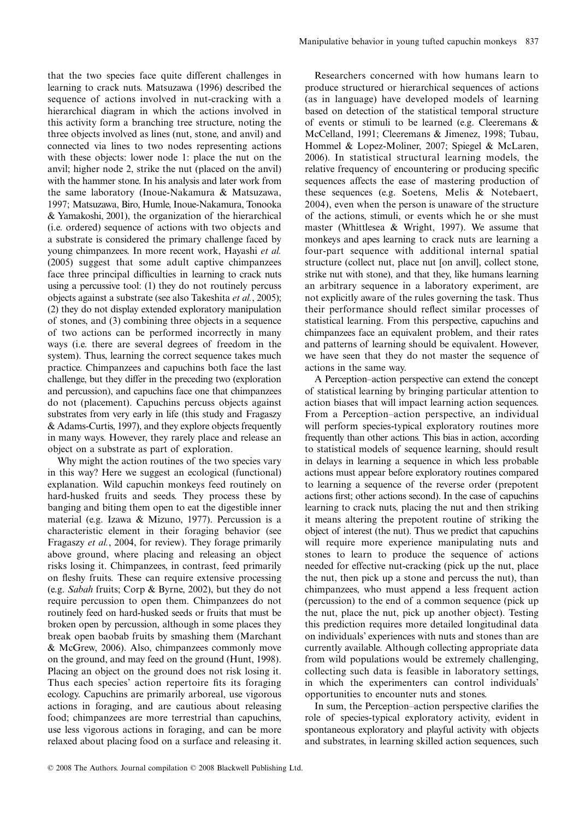that the two species face quite different challenges in learning to crack nuts. Matsuzawa (1996) described the sequence of actions involved in nut-cracking with a hierarchical diagram in which the actions involved in this activity form a branching tree structure, noting the three objects involved as lines (nut, stone, and anvil) and connected via lines to two nodes representing actions with these objects: lower node 1: place the nut on the anvil; higher node 2, strike the nut (placed on the anvil) with the hammer stone. In his analysis and later work from the same laboratory (Inoue-Nakamura & Matsuzawa, 1997; Matsuzawa, Biro, Humle, Inoue-Nakamura, Tonooka & Yamakoshi, 2001), the organization of the hierarchical (i.e. ordered) sequence of actions with two objects and a substrate is considered the primary challenge faced by young chimpanzees. In more recent work, Hayashi *et al.* (2005) suggest that some adult captive chimpanzees face three principal difficulties in learning to crack nuts using a percussive tool: (1) they do not routinely percuss objects against a substrate (see also Takeshita *et al.*, 2005); (2) they do not display extended exploratory manipulation of stones, and (3) combining three objects in a sequence of two actions can be performed incorrectly in many ways (i.e. there are several degrees of freedom in the system). Thus, learning the correct sequence takes much practice. Chimpanzees and capuchins both face the last challenge, but they differ in the preceding two (exploration and percussion), and capuchins face one that chimpanzees do not (placement). Capuchins percuss objects against substrates from very early in life (this study and Fragaszy & Adams-Curtis, 1997), and they explore objects frequently in many ways. However, they rarely place and release an object on a substrate as part of exploration.

Why might the action routines of the two species vary in this way? Here we suggest an ecological (functional) explanation. Wild capuchin monkeys feed routinely on hard-husked fruits and seeds. They process these by banging and biting them open to eat the digestible inner material (e.g. Izawa & Mizuno, 1977). Percussion is a characteristic element in their foraging behavior (see Fragaszy *et al.*, 2004, for review). They forage primarily above ground, where placing and releasing an object risks losing it. Chimpanzees, in contrast, feed primarily on fleshy fruits. These can require extensive processing (e.g. *Sabah* fruits; Corp & Byrne, 2002), but they do not require percussion to open them. Chimpanzees do not routinely feed on hard-husked seeds or fruits that must be broken open by percussion, although in some places they break open baobab fruits by smashing them (Marchant & McGrew, 2006). Also, chimpanzees commonly move on the ground, and may feed on the ground (Hunt, 1998). Placing an object on the ground does not risk losing it. Thus each species' action repertoire fits its foraging ecology. Capuchins are primarily arboreal, use vigorous actions in foraging, and are cautious about releasing food; chimpanzees are more terrestrial than capuchins, use less vigorous actions in foraging, and can be more relaxed about placing food on a surface and releasing it.

Researchers concerned with how humans learn to produce structured or hierarchical sequences of actions (as in language) have developed models of learning based on detection of the statistical temporal structure of events or stimuli to be learned (e.g. Cleeremans & McCelland, 1991; Cleeremans & Jimenez, 1998; Tubau, Hommel & Lopez-Moliner, 2007; Spiegel & McLaren, 2006). In statistical structural learning models, the relative frequency of encountering or producing specific sequences affects the ease of mastering production of these sequences (e.g. Soetens, Melis & Notebaert, 2004), even when the person is unaware of the structure of the actions, stimuli, or events which he or she must master (Whittlesea & Wright, 1997). We assume that monkeys and apes learning to crack nuts are learning a four-part sequence with additional internal spatial structure (collect nut, place nut [on anvil], collect stone, strike nut with stone), and that they, like humans learning an arbitrary sequence in a laboratory experiment, are not explicitly aware of the rules governing the task. Thus their performance should reflect similar processes of statistical learning. From this perspective, capuchins and chimpanzees face an equivalent problem, and their rates and patterns of learning should be equivalent. However, we have seen that they do not master the sequence of actions in the same way.

A Perception–action perspective can extend the concept of statistical learning by bringing particular attention to action biases that will impact learning action sequences. From a Perception–action perspective, an individual will perform species-typical exploratory routines more frequently than other actions. This bias in action, according to statistical models of sequence learning, should result in delays in learning a sequence in which less probable actions must appear before exploratory routines compared to learning a sequence of the reverse order (prepotent actions first; other actions second). In the case of capuchins learning to crack nuts, placing the nut and then striking it means altering the prepotent routine of striking the object of interest (the nut). Thus we predict that capuchins will require more experience manipulating nuts and stones to learn to produce the sequence of actions needed for effective nut-cracking (pick up the nut, place the nut, then pick up a stone and percuss the nut), than chimpanzees, who must append a less frequent action (percussion) to the end of a common sequence (pick up the nut, place the nut, pick up another object). Testing this prediction requires more detailed longitudinal data on individuals' experiences with nuts and stones than are currently available. Although collecting appropriate data from wild populations would be extremely challenging, collecting such data is feasible in laboratory settings, in which the experimenters can control individuals' opportunities to encounter nuts and stones.

In sum, the Perception–action perspective clarifies the role of species-typical exploratory activity, evident in spontaneous exploratory and playful activity with objects and substrates, in learning skilled action sequences, such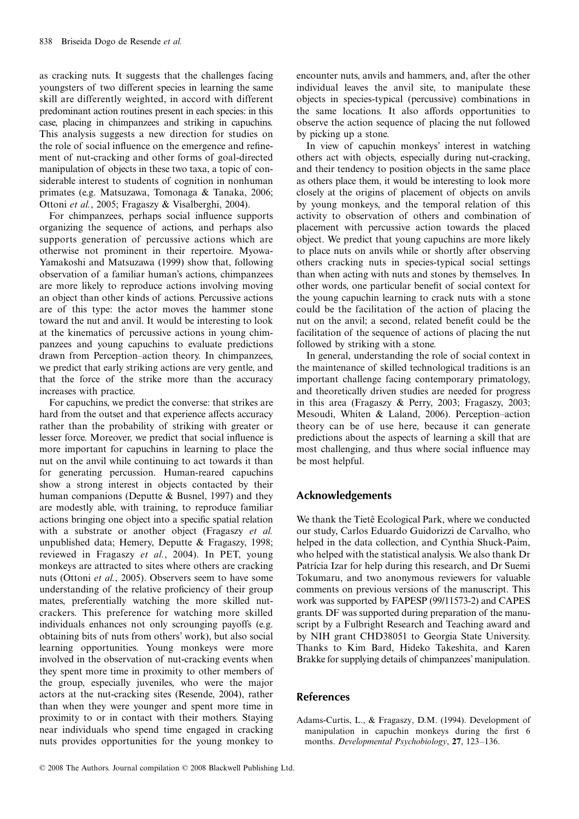as cracking nuts. It suggests that the challenges facing youngsters of two different species in learning the same skill are differently weighted, in accord with different predominant action routines present in each species: in this case, placing in chimpanzees and striking in capuchins. This analysis suggests a new direction for studies on the role of social influence on the emergence and refinement of nut-cracking and other forms of goal-directed manipulation of objects in these two taxa, a topic of considerable interest to students of cognition in nonhuman primates (e.g. Matsuzawa, Tomonaga & Tanaka, 2006; Ottoni *et al.*, 2005; Fragaszy & Visalberghi, 2004).

For chimpanzees, perhaps social influence supports organizing the sequence of actions, and perhaps also supports generation of percussive actions which are otherwise not prominent in their repertoire. Myowa-Yamakoshi and Matsuzawa (1999) show that, following observation of a familiar human's actions, chimpanzees are more likely to reproduce actions involving moving an object than other kinds of actions. Percussive actions are of this type: the actor moves the hammer stone toward the nut and anvil. It would be interesting to look at the kinematics of percussive actions in young chimpanzees and young capuchins to evaluate predictions drawn from Perception–action theory. In chimpanzees, we predict that early striking actions are very gentle, and that the force of the strike more than the accuracy increases with practice.

For capuchins, we predict the converse: that strikes are hard from the outset and that experience affects accuracy rather than the probability of striking with greater or lesser force. Moreover, we predict that social influence is more important for capuchins in learning to place the nut on the anvil while continuing to act towards it than for generating percussion. Human-reared capuchins show a strong interest in objects contacted by their human companions (Deputte & Busnel, 1997) and they are modestly able, with training, to reproduce familiar actions bringing one object into a specific spatial relation with a substrate or another object (Fragaszy *et al.* unpublished data; Hemery, Deputte & Fragaszy, 1998; reviewed in Fragaszy *et al.*, 2004). In PET, young monkeys are attracted to sites where others are cracking nuts (Ottoni *et al.*, 2005). Observers seem to have some understanding of the relative proficiency of their group mates, preferentially watching the more skilled nutcrackers. This preference for watching more skilled individuals enhances not only scrounging payoffs (e.g. obtaining bits of nuts from others' work), but also social learning opportunities. Young monkeys were more involved in the observation of nut-cracking events when they spent more time in proximity to other members of the group, especially juveniles, who were the major actors at the nut-cracking sites (Resende, 2004), rather than when they were younger and spent more time in proximity to or in contact with their mothers. Staying near individuals who spend time engaged in cracking nuts provides opportunities for the young monkey to

encounter nuts, anvils and hammers, and, after the other individual leaves the anvil site, to manipulate these objects in species-typical (percussive) combinations in the same locations. It also affords opportunities to observe the action sequence of placing the nut followed by picking up a stone.

In view of capuchin monkeys' interest in watching others act with objects, especially during nut-cracking, and their tendency to position objects in the same place as others place them, it would be interesting to look more closely at the origins of placement of objects on anvils by young monkeys, and the temporal relation of this activity to observation of others and combination of placement with percussive action towards the placed object. We predict that young capuchins are more likely to place nuts on anvils while or shortly after observing others cracking nuts in species-typical social settings than when acting with nuts and stones by themselves. In other words, one particular benefit of social context for the young capuchin learning to crack nuts with a stone could be the facilitation of the action of placing the nut on the anvil; a second, related benefit could be the facilitation of the sequence of actions of placing the nut followed by striking with a stone.

In general, understanding the role of social context in the maintenance of skilled technological traditions is an important challenge facing contemporary primatology, and theoretically driven studies are needed for progress in this area (Fragaszy & Perry, 2003; Fragaszy, 2003; Mesoudi, Whiten & Laland, 2006). Perception–action theory can be of use here, because it can generate predictions about the aspects of learning a skill that are most challenging, and thus where social influence may be most helpful.

# **Acknowledgements**

We thank the Tietê Ecological Park, where we conducted our study, Carlos Eduardo Guidorizzi de Carvalho, who helped in the data collection, and Cynthia Shuck-Paim, who helped with the statistical analysis. We also thank Dr Patrícia Izar for help during this research, and Dr Suemi Tokumaru, and two anonymous reviewers for valuable comments on previous versions of the manuscript. This work was supported by FAPESP (99/11573-2) and CAPES grants. DF was supported during preparation of the manuscript by a Fulbright Research and Teaching award and by NIH grant CHD38051 to Georgia State University. Thanks to Kim Bard, Hideko Takeshita, and Karen Brakke for supplying details of chimpanzees' manipulation.

## **References**

Adams-Curtis, L., & Fragaszy, D.M. (1994). Development of manipulation in capuchin monkeys during the first 6 months. *Developmental Psychobiology*, **27**, 123–136.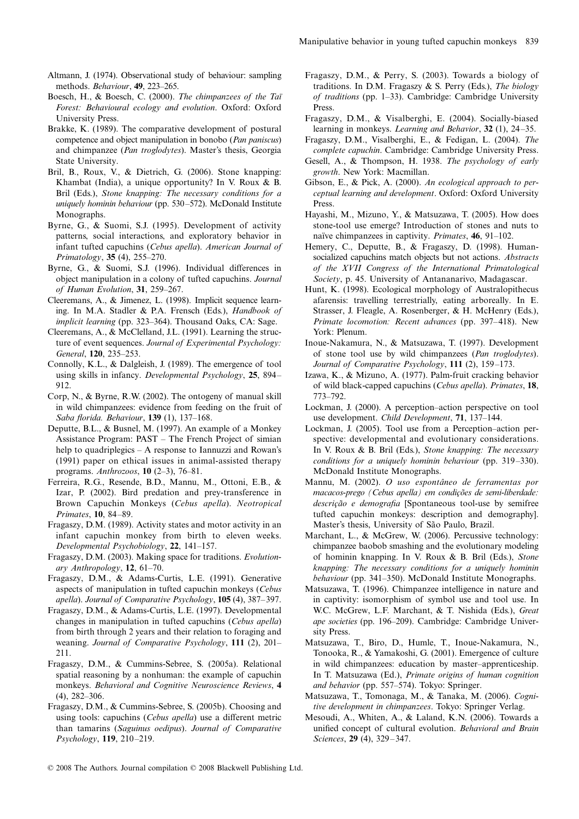- Altmann, J. (1974). Observational study of behaviour: sampling methods. *Behaviour*, **49**, 223–265.
- Boesch, H., & Boesch, C. (2000). *The chimpanzees of the Taï Forest: Behavioural ecology and evolution*. Oxford: Oxford University Press.
- Brakke, K. (1989). The comparative development of postural competence and object manipulation in bonobo (*Pan paniscus*) and chimpanzee (*Pan troglodytes*). Master's thesis, Georgia State University.
- Bril, B., Roux, V., & Dietrich, G. (2006). Stone knapping: Khambat (India), a unique opportunity? In V. Roux & B. Bril (Eds.), *Stone knapping: The necessary conditions for a uniquely hominin behaviour* (pp. 530–572). McDonald Institute Monographs.
- Byrne, G., & Suomi, S.J. (1995). Development of activity patterns, social interactions, and exploratory behavior in infant tufted capuchins (*Cebus apella*). *American Journal of Primatology*, **35** (4), 255–270.
- Byrne, G., & Suomi, S.J. (1996). Individual differences in object manipulation in a colony of tufted capuchins. *Journal of Human Evolution*, **31**, 259–267.
- Cleeremans, A., & Jimenez, L. (1998). Implicit sequence learning. In M.A. Stadler & P.A. Frensch (Eds.), *Handbook of implicit learning* (pp. 323–364). Thousand Oaks, CA: Sage.
- Cleeremans, A., & McClelland, J.L. (1991). Learning the structure of event sequences. *Journal of Experimental Psychology: General*, **120**, 235–253.
- Connolly, K.L., & Dalgleish, J. (1989). The emergence of tool using skills in infancy. *Developmental Psychology*, **25**, 894– 912.
- Corp, N., & Byrne, R.W. (2002). The ontogeny of manual skill in wild chimpanzees: evidence from feeding on the fruit of *Saba florida. Behaviour*, **139** (1), 137–168.
- Deputte, B.L., & Busnel, M. (1997). An example of a Monkey Assistance Program: PAST – The French Project of simian help to quadriplegics – A response to Iannuzzi and Rowan's (1991) paper on ethical issues in animal-assisted therapy programs. *Anthrozoos*, **10** (2–3), 76–81.
- Ferreira, R.G., Resende, B.D., Mannu, M., Ottoni, E.B., & Izar, P. (2002). Bird predation and prey-transference in Brown Capuchin Monkeys (*Cebus apella*). *Neotropical Primates*, **10**, 84–89.
- Fragaszy, D.M. (1989). Activity states and motor activity in an infant capuchin monkey from birth to eleven weeks. *Developmental Psychobiology*, **22**, 141–157.
- Fragaszy, D.M. (2003). Making space for traditions. *Evolutionary Anthropology*, **12**, 61–70.
- Fragaszy, D.M., & Adams-Curtis, L.E. (1991). Generative aspects of manipulation in tufted capuchin monkeys (*Cebus apella*). *Journal of Comparative Psychology*, **105** (4), 387–397.
- Fragaszy, D.M., & Adams-Curtis, L.E. (1997). Developmental changes in manipulation in tufted capuchins (*Cebus apella*) from birth through 2 years and their relation to foraging and weaning. *Journal of Comparative Psychology*, **111** (2), 201– 211.
- Fragaszy, D.M., & Cummins-Sebree, S. (2005a). Relational spatial reasoning by a nonhuman: the example of capuchin monkeys. *Behavioral and Cognitive Neuroscience Reviews*, **4** (4), 282–306.
- Fragaszy, D.M., & Cummins-Sebree, S. (2005b). Choosing and using tools: capuchins (*Cebus apella*) use a different metric than tamarins (*Saguinus oedipus*). *Journal of Comparative Psychology*, **119**, 210–219.
- Fragaszy, D.M., & Perry, S. (2003). Towards a biology of traditions. In D.M. Fragaszy & S. Perry (Eds.), *The biology of traditions* (pp. 1–33). Cambridge: Cambridge University Press.
- Fragaszy, D.M., & Visalberghi, E. (2004). Socially-biased learning in monkeys. *Learning and Behavior*, **32** (1), 24–35.
- Fragaszy, D.M., Visalberghi, E., & Fedigan, L. (2004). *The complete capuchin*. Cambridge: Cambridge University Press.
- Gesell, A., & Thompson, H. 1938. *The psychology of early growth*. New York: Macmillan.
- Gibson, E., & Pick, A. (2000). *An ecological approach to perceptual learning and development*. Oxford: Oxford University Press.
- Hayashi, M., Mizuno, Y., & Matsuzawa, T. (2005). How does stone-tool use emerge? Introduction of stones and nuts to naïve chimpanzees in captivity. *Primates*, **46**, 91–102.
- Hemery, C., Deputte, B., & Fragaszy, D. (1998). Humansocialized capuchins match objects but not actions. *Abstracts of the XVII Congress of the International Primatological Society*, p. 45. University of Antananarivo, Madagascar.
- Hunt, K. (1998). Ecological morphology of Australopithecus afarensis: travelling terrestrially, eating arboreally. In E. Strasser, J. Fleagle, A. Rosenberger, & H. McHenry (Eds.), *Primate locomotion: Recent advances* (pp. 397–418). New York: Plenum.
- Inoue-Nakamura, N., & Matsuzawa, T. (1997). Development of stone tool use by wild chimpanzees (*Pan troglodytes*). *Journal of Comparative Psychology*, **111** (2), 159–173.
- Izawa, K., & Mizuno, A. (1977). Palm-fruit cracking behavior of wild black-capped capuchins (*Cebus apella*). *Primates*, **18**, 773–792.
- Lockman, J. (2000). A perception–action perspective on tool use development. *Child Development*, **71**, 137–144.
- Lockman, J. (2005). Tool use from a Perception–action perspective: developmental and evolutionary considerations. In V. Roux & B. Bril (Eds.), *Stone knapping: The necessary conditions for a uniquely hominin behaviour* (pp. 319–330). McDonald Institute Monographs.
- Mannu, M. (2002). *O uso espontâneo de ferramentas por macacos-prego (Cebus apella) em condições de semi-liberdade: descrição e demografia* [Spontaneous tool-use by semifree tufted capuchin monkeys: description and demography]. Master's thesis, University of São Paulo, Brazil.
- Marchant, L., & McGrew, W. (2006). Percussive technology: chimpanzee baobob smashing and the evolutionary modeling of hominin knapping. In V. Roux & B. Bril (Eds.), *Stone knapping: The necessary conditions for a uniquely hominin behaviour* (pp. 341–350). McDonald Institute Monographs.
- Matsuzawa, T. (1996). Chimpanzee intelligence in nature and in captivity: isomorphism of symbol use and tool use. In W.C. McGrew, L.F. Marchant, & T. Nishida (Eds.), *Great ape societies* (pp. 196–209). Cambridge: Cambridge University Press.
- Matsuzawa, T., Biro, D., Humle, T., Inoue-Nakamura, N., Tonooka, R., & Yamakoshi, G. (2001). Emergence of culture in wild chimpanzees: education by master–apprenticeship. In T. Matsuzawa (Ed.), *Primate origins of human cognition and behavior* (pp. 557–574). Tokyo: Springer.
- Matsuzawa, T., Tomonaga, M., & Tanaka, M. (2006). *Cognitive development in chimpanzees*. Tokyo: Springer Verlag.
- Mesoudi, A., Whiten, A., & Laland, K.N. (2006). Towards a unified concept of cultural evolution. *Behavioral and Brain Sciences*, **29** (4), 329–347.